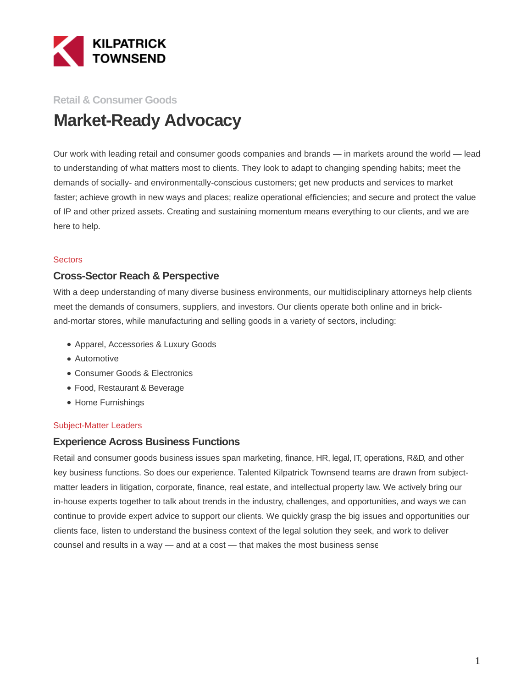

# **Retail & Consumer Goods Market-Ready Advocacy**

Our work with leading retail and consumer goods companies and brands — in markets around the world — leads to understanding of what matters most to clients. They look to adapt to changing spending habits; meet the demands of socially- and environmentally-conscious customers; get new products and services to market faster; achieve growth in new ways and places; realize operational efficiencies; and secure and protect the value of IP and other prized assets. Creating and sustaining momentum means everything to our clients, and we are here to help.

#### **Sectors**

#### **Cross-Sector Reach & Perspective**

With a deep understanding of many diverse business environments, our multidisciplinary attorneys help clients meet the demands of consumers, suppliers, and investors. Our clients operate both online and in brickand-mortar stores, while manufacturing and selling goods in a variety of sectors, including:

- Apparel, Accessories & Luxury Goods
- Automotive
- Consumer Goods & Electronics
- Food, Restaurant & Beverage
- Home Furnishings

#### Subject-Matter Leaders

#### **Experience Across Business Functions**

Retail and consumer goods business issues span marketing, finance, HR, legal, IT, operations, R&D, and other key business functions. So does our experience. Talented Kilpatrick Townsend teams are drawn from subjectmatter leaders in litigation, corporate, finance, real estate, and intellectual property law. We actively bring our in-house experts together to talk about trends in the industry, challenges, and opportunities, and ways we can continue to provide expert advice to support our clients. We quickly grasp the big issues and opportunities our clients face, listen to understand the business context of the legal solution they seek, and work to deliver counsel and results in a way — and at a cost — that makes the most business sense.